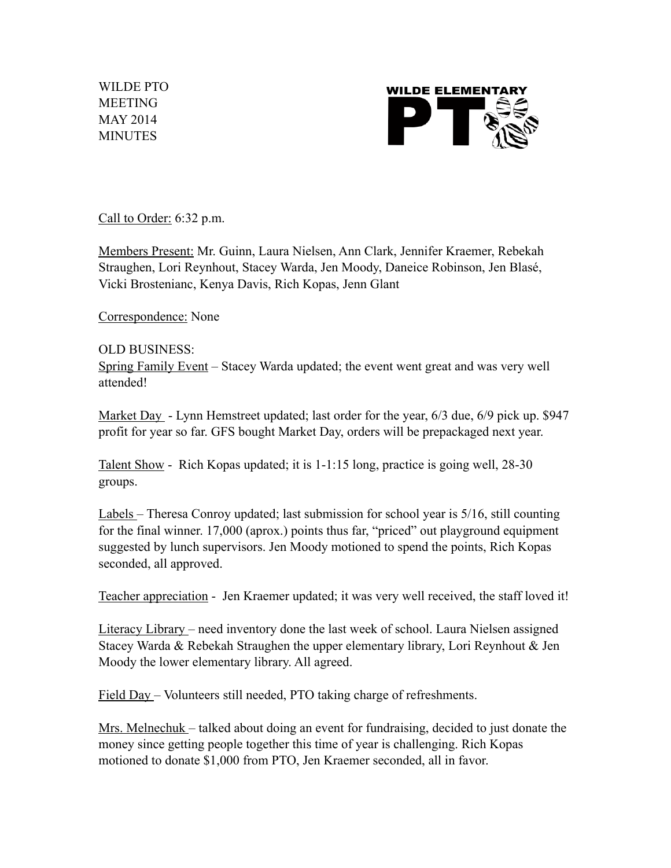WILDE PTO MEETING MAY 2014 MINUTES



Call to Order: 6:32 p.m.

Members Present: Mr. Guinn, Laura Nielsen, Ann Clark, Jennifer Kraemer, Rebekah Straughen, Lori Reynhout, Stacey Warda, Jen Moody, Daneice Robinson, Jen Blasé, Vicki Brostenianc, Kenya Davis, Rich Kopas, Jenn Glant

Correspondence: None

## OLD BUSINESS:

Spring Family Event – Stacey Warda updated; the event went great and was very well attended!

Market Day - Lynn Hemstreet updated; last order for the year, 6/3 due, 6/9 pick up. \$947 profit for year so far. GFS bought Market Day, orders will be prepackaged next year.

Talent Show - Rich Kopas updated; it is 1-1:15 long, practice is going well, 28-30 groups.

Labels – Theresa Conroy updated; last submission for school year is 5/16, still counting for the final winner. 17,000 (aprox.) points thus far, "priced" out playground equipment suggested by lunch supervisors. Jen Moody motioned to spend the points, Rich Kopas seconded, all approved.

Teacher appreciation - Jen Kraemer updated; it was very well received, the staff loved it!

Literacy Library – need inventory done the last week of school. Laura Nielsen assigned Stacey Warda & Rebekah Straughen the upper elementary library, Lori Reynhout & Jen Moody the lower elementary library. All agreed.

Field Day – Volunteers still needed, PTO taking charge of refreshments.

Mrs. Melnechuk – talked about doing an event for fundraising, decided to just donate the money since getting people together this time of year is challenging. Rich Kopas motioned to donate \$1,000 from PTO, Jen Kraemer seconded, all in favor.